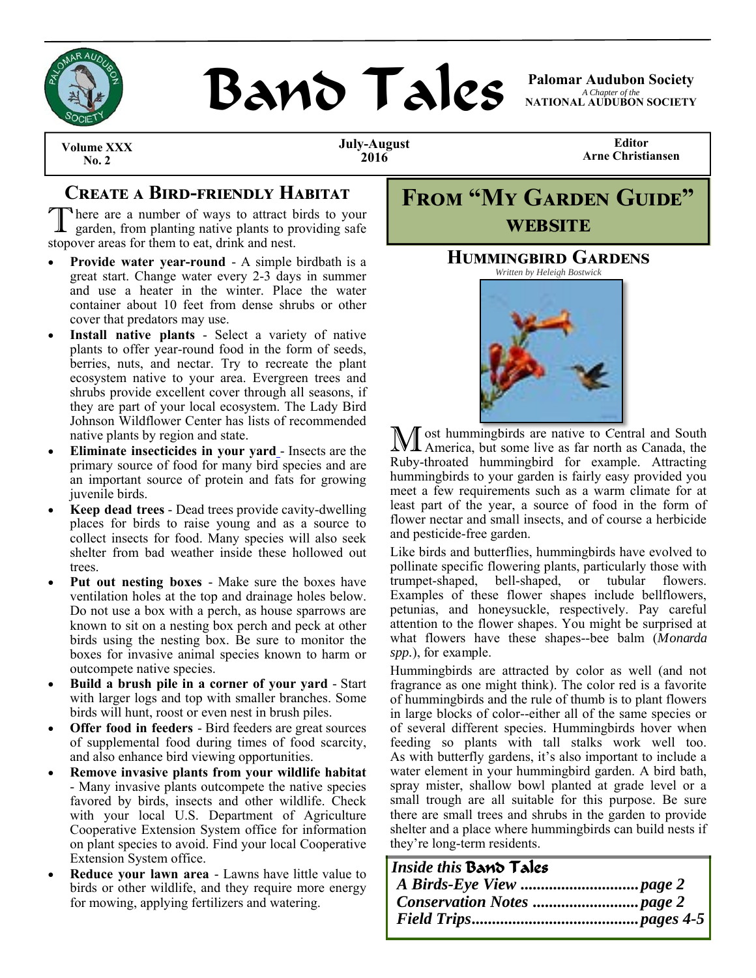

# **BAND TAILS** Palomar Audubon Society

*A Chapter of the*  **NATIONAL AUDUBON SOCIETY** 

**Volume XXX**<br>No. 2

**July-August 2016** 

**Editor Arne Christiansen** 

# **CREATE A BIRD-FRIENDLY HABITAT**

There are a number of ways to attract birds to your garden, from planting native plants to providing safe stopover areas for them to eat, drink and nest.

- **Provide water year-round**  A simple birdbath is a great start. Change water every 2-3 days in summer and use a heater in the winter. Place the water container about 10 feet from dense shrubs or other cover that predators may use.
- **Install native plants** Select a variety of native plants to offer year-round food in the form of seeds, berries, nuts, and nectar. Try to recreate the plant ecosystem native to your area. Evergreen trees and shrubs provide excellent cover through all seasons, if they are part of your local ecosystem. The Lady Bird Johnson Wildflower Center has lists of recommended native plants by region and state.
- **Eliminate insecticides in your yard** Insects are the primary source of food for many bird species and are an important source of protein and fats for growing juvenile birds.
- **Keep dead trees** Dead trees provide cavity-dwelling places for birds to raise young and as a source to collect insects for food. Many species will also seek shelter from bad weather inside these hollowed out trees.
- **Put out nesting boxes**  Make sure the boxes have ventilation holes at the top and drainage holes below. Do not use a box with a perch, as house sparrows are known to sit on a nesting box perch and peck at other birds using the nesting box. Be sure to monitor the boxes for invasive animal species known to harm or outcompete native species.
- **Build a brush pile in a corner of your yard**  Start with larger logs and top with smaller branches. Some birds will hunt, roost or even nest in brush piles.
- **Offer food in feeders**  Bird feeders are great sources of supplemental food during times of food scarcity, and also enhance bird viewing opportunities.
- **Remove invasive plants from your wildlife habitat**  - Many invasive plants outcompete the native species favored by birds, insects and other wildlife. Check with your local U.S. Department of Agriculture Cooperative Extension System office for information on plant species to avoid. Find your local Cooperative Extension System office.
- **Reduce your lawn area**  Lawns have little value to birds or other wildlife, and they require more energy for mowing, applying fertilizers and watering.

|                |  | <b>FROM "MY GARDEN GUIDE"</b> |  |  |  |
|----------------|--|-------------------------------|--|--|--|
| <b>WEBSITE</b> |  |                               |  |  |  |

## **HUMMINGBIRD GARDENS**

*Written by Heleigh Bostwick* 



M ost hummingbirds are native to Central and South America, but some live as far north as Canada, the Ruby-throated hummingbird for example. Attracting hummingbirds to your garden is fairly easy provided you meet a few requirements such as a warm climate for at least part of the year, a source of food in the form of flower nectar and small insects, and of course a herbicide and pesticide-free garden.

Like birds and butterflies, hummingbirds have evolved to pollinate specific flowering plants, particularly those with trumpet-shaped, bell-shaped, or tubular flowers. Examples of these flower shapes include bellflowers, petunias, and honeysuckle, respectively. Pay careful attention to the flower shapes. You might be surprised at what flowers have these shapes--bee balm (*Monarda spp.*), for example.

Hummingbirds are attracted by color as well (and not fragrance as one might think). The color red is a favorite of hummingbirds and the rule of thumb is to plant flowers in large blocks of color--either all of the same species or of several different species. Hummingbirds hover when feeding so plants with tall stalks work well too. As with butterfly gardens, it's also important to include a water element in your hummingbird garden. A bird bath, spray mister, shallow bowl planted at grade level or a small trough are all suitable for this purpose. Be sure there are small trees and shrubs in the garden to provide shelter and a place where hummingbirds can build nests if they're long-term residents.

| Inside this Band Tales |  |
|------------------------|--|
|                        |  |
|                        |  |
|                        |  |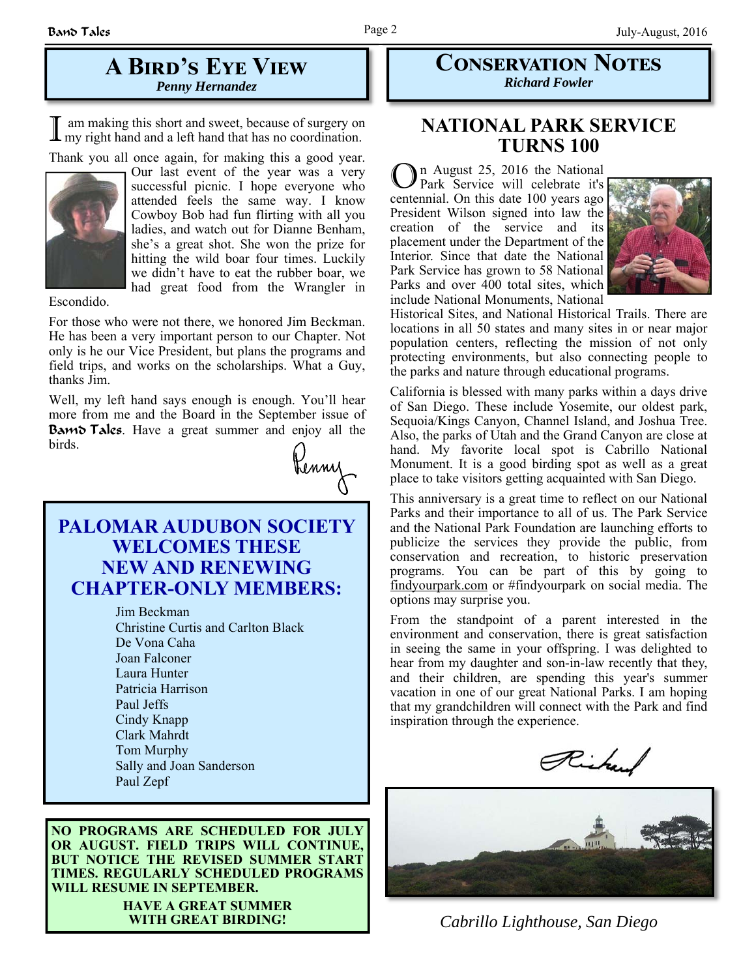## **A BIRD'S EYE VIEW** *Penny Hernandez*

I am making this short and sweet, because of surgery on my right hand and a left hand that has no coordination.

Thank you all once again, for making this a good year.



Our last event of the year was a very successful picnic. I hope everyone who attended feels the same way. I know Cowboy Bob had fun flirting with all you ladies, and watch out for Dianne Benham, she's a great shot. She won the prize for hitting the wild boar four times. Luckily we didn't have to eat the rubber boar, we had great food from the Wrangler in

Escondido.

For those who were not there, we honored Jim Beckman. He has been a very important person to our Chapter. Not only is he our Vice President, but plans the programs and field trips, and works on the scholarships. What a Guy, thanks Jim.

Well, my left hand says enough is enough. You'll hear more from me and the Board in the September issue of Bamd Tales. Have a great summer and enjoy all the birds. Kenny

# **PALOMAR AUDUBON SOCIETY WELCOMES THESE NEW AND RENEWING CHAPTER-ONLY MEMBERS:**

Jim Beckman Christine Curtis and Carlton Black De Vona Caha Joan Falconer Laura Hunter Patricia Harrison Paul Jeffs Cindy Knapp Clark Mahrdt Tom Murphy Sally and Joan Sanderson Paul Zepf

#### **NO PROGRAMS ARE SCHEDULED FOR JULY OR AUGUST. FIELD TRIPS WILL CONTINUE, BUT NOTICE THE REVISED SUMMER START TIMES. REGULARLY SCHEDULED PROGRAMS WILL RESUME IN SEPTEMBER.**

# **HAVE A GREAT SUMMER**

**CONSERVATION NOTES** *Richard Fowler* 

# **NATIONAL PARK SERVICE TURNS 100**

O n August 25, 2016 the National Park Service will celebrate it's centennial. On this date 100 years ago President Wilson signed into law the creation of the service and its placement under the Department of the Interior. Since that date the National Park Service has grown to 58 National Parks and over 400 total sites, which include National Monuments, National



Historical Sites, and National Historical Trails. There are locations in all 50 states and many sites in or near major population centers, reflecting the mission of not only protecting environments, but also connecting people to the parks and nature through educational programs.

California is blessed with many parks within a days drive of San Diego. These include Yosemite, our oldest park, Sequoia/Kings Canyon, Channel Island, and Joshua Tree. Also, the parks of Utah and the Grand Canyon are close at hand. My favorite local spot is Cabrillo National Monument. It is a good birding spot as well as a great place to take visitors getting acquainted with San Diego.

This anniversary is a great time to reflect on our National Parks and their importance to all of us. The Park Service and the National Park Foundation are launching efforts to publicize the services they provide the public, from conservation and recreation, to historic preservation programs. You can be part of this by going to findyourpark.com or #findyourpark on social media. The options may surprise you.

From the standpoint of a parent interested in the environment and conservation, there is great satisfaction in seeing the same in your offspring. I was delighted to hear from my daughter and son-in-law recently that they, and their children, are spending this year's summer vacation in one of our great National Parks. I am hoping that my grandchildren will connect with the Park and find inspiration through the experience.

Richard



**WITH GREAT BIRDING!** *Cabrillo Lighthouse, San Diego*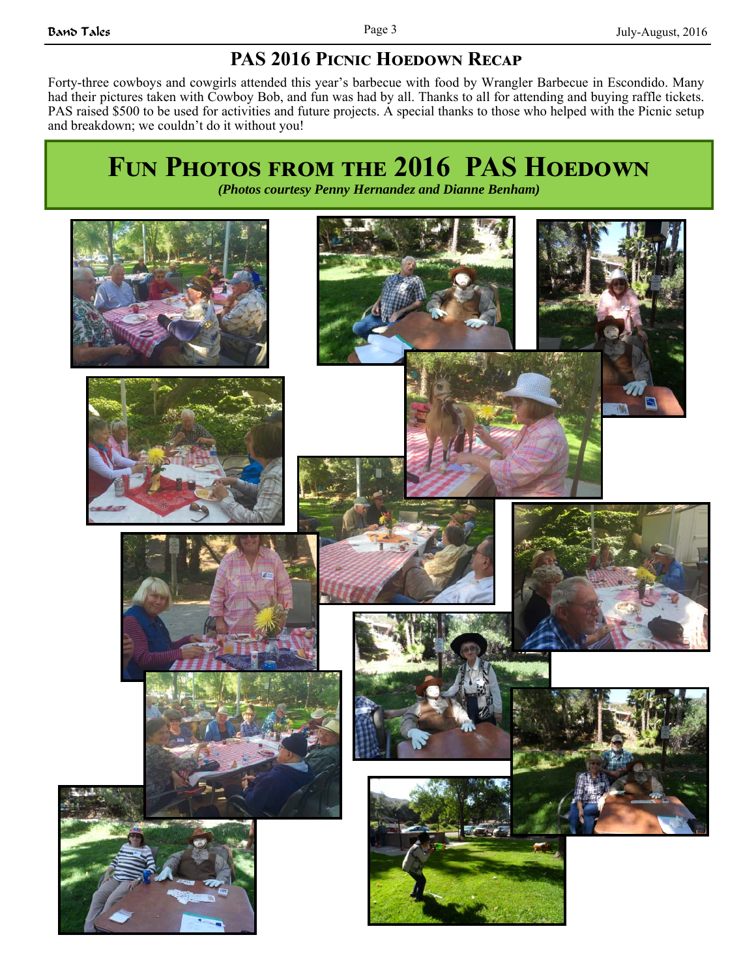# **PAS 2016 PICNIC HOEDOWN RECAP**

Forty-three cowboys and cowgirls attended this year's barbecue with food by Wrangler Barbecue in Escondido. Many had their pictures taken with Cowboy Bob, and fun was had by all. Thanks to all for attending and buying raffle tickets. PAS raised \$500 to be used for activities and future projects. A special thanks to those who helped with the Picnic setup and breakdown; we couldn't do it without you!

# **FUN PHOTOS FROM THE 2016 PAS HOEDOWN**

*(Photos courtesy Penny Hernandez and Dianne Benham)* 

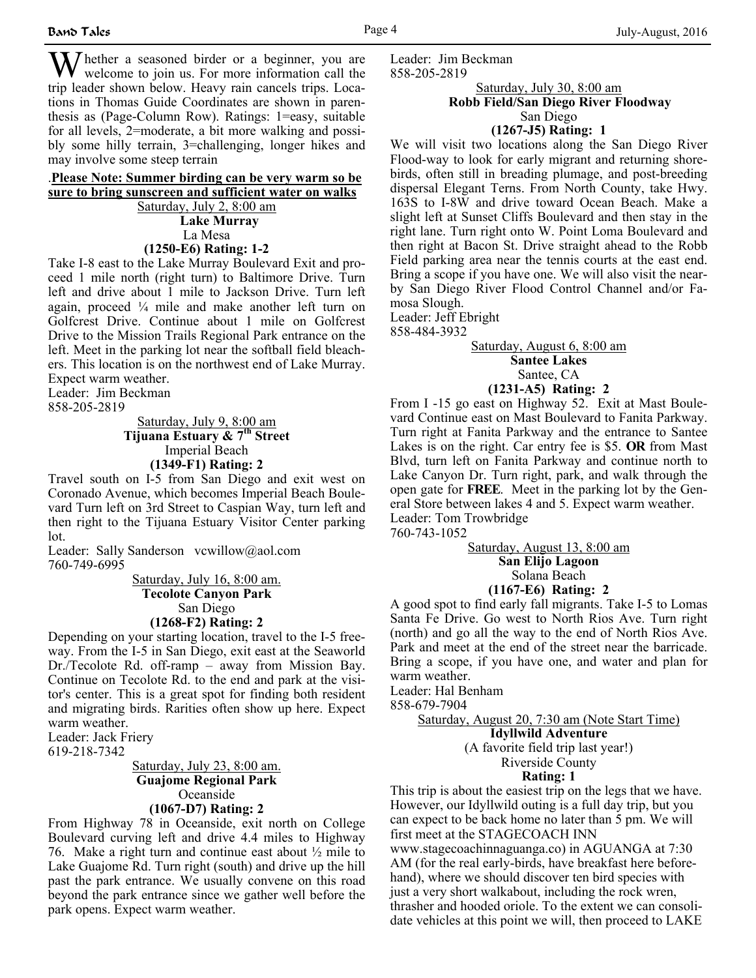$\sum$  hether a seasoned birder or a beginner, you are welcome to join us. For more information call the trip leader shown below. Heavy rain cancels trips. Locations in Thomas Guide Coordinates are shown in parenthesis as (Page-Column Row). Ratings: 1=easy, suitable for all levels, 2=moderate, a bit more walking and possibly some hilly terrain, 3=challenging, longer hikes and may involve some steep terrain

#### .**Please Note: Summer birding can be very warm so be sure to bring sunscreen and sufficient water on walks**  Saturday, July 2, 8:00 am

 **Lake Murray**  La Mesa

#### **(1250-E6) Rating: 1-2**

Take I-8 east to the Lake Murray Boulevard Exit and proceed 1 mile north (right turn) to Baltimore Drive. Turn left and drive about 1 mile to Jackson Drive. Turn left again, proceed ¼ mile and make another left turn on Golfcrest Drive. Continue about 1 mile on Golfcrest Drive to the Mission Trails Regional Park entrance on the left. Meet in the parking lot near the softball field bleachers. This location is on the northwest end of Lake Murray. Expect warm weather.

Leader: Jim Beckman

858-205-2819

Saturday, July 9, 8:00 am **Tijuana Estuary & 7th Street** Imperial Beach **(1349-F1) Rating: 2**

Travel south on I-5 from San Diego and exit west on Coronado Avenue, which becomes Imperial Beach Boulevard Turn left on 3rd Street to Caspian Way, turn left and then right to the Tijuana Estuary Visitor Center parking lot.

Leader: Sally Sanderson vcwillow@aol.com 760-749-6995

> Saturday, July 16, 8:00 am. **Tecolote Canyon Park**  San Diego **(1268-F2) Rating: 2**

Depending on your starting location, travel to the I-5 freeway. From the I-5 in San Diego, exit east at the Seaworld Dr./Tecolote Rd. off-ramp – away from Mission Bay. Continue on Tecolote Rd. to the end and park at the visitor's center. This is a great spot for finding both resident and migrating birds. Rarities often show up here. Expect warm weather.

Leader: Jack Friery

619-218-7342

#### Saturday, July 23, 8:00 am. **Guajome Regional Park** Oceanside **(1067-D7) Rating: 2**

From Highway 78 in Oceanside, exit north on College Boulevard curving left and drive 4.4 miles to Highway 76. Make a right turn and continue east about ½ mile to Lake Guajome Rd. Turn right (south) and drive up the hill past the park entrance. We usually convene on this road beyond the park entrance since we gather well before the park opens. Expect warm weather.

Leader: Jim Beckman 858-205-2819

Saturday, July 30, 8:00 am

#### **Robb Field/San Diego River Floodway**  San Diego

**(1267-J5) Rating: 1**

We will visit two locations along the San Diego River Flood-way to look for early migrant and returning shorebirds, often still in breading plumage, and post-breeding dispersal Elegant Terns. From North County, take Hwy. 163S to I-8W and drive toward Ocean Beach. Make a slight left at Sunset Cliffs Boulevard and then stay in the right lane. Turn right onto W. Point Loma Boulevard and then right at Bacon St. Drive straight ahead to the Robb Field parking area near the tennis courts at the east end. Bring a scope if you have one. We will also visit the nearby San Diego River Flood Control Channel and/or Famosa Slough.

Leader: Jeff Ebright 858-484-3932

#### Saturday, August 6, 8:00 am **Santee Lakes** Santee, CA

## **(1231-A5) Rating: 2**

From I -15 go east on Highway 52. Exit at Mast Boulevard Continue east on Mast Boulevard to Fanita Parkway. Turn right at Fanita Parkway and the entrance to Santee Lakes is on the right. Car entry fee is \$5. **OR** from Mast Blvd, turn left on Fanita Parkway and continue north to Lake Canyon Dr. Turn right, park, and walk through the open gate for **FREE**. Meet in the parking lot by the General Store between lakes 4 and 5. Expect warm weather. Leader: Tom Trowbridge

760-743-1052

Saturday, August 13, 8:00 am

**San Elijo Lagoon** Solana Beach

#### **(1167-E6) Rating: 2**

A good spot to find early fall migrants. Take I-5 to Lomas Santa Fe Drive. Go west to North Rios Ave. Turn right (north) and go all the way to the end of North Rios Ave. Park and meet at the end of the street near the barricade. Bring a scope, if you have one, and water and plan for warm weather.

Leader: Hal Benham

858-679-7904

Saturday, August 20, 7:30 am (Note Start Time) **Idyllwild Adventure**  (A favorite field trip last year!) Riverside County

#### **Rating: 1**

This trip is about the easiest trip on the legs that we have. However, our Idyllwild outing is a full day trip, but you can expect to be back home no later than 5 pm. We will first meet at the STAGECOACH INN www.stagecoachinnaguanga.co) in AGUANGA at 7:30 AM (for the real early-birds, have breakfast here beforehand), where we should discover ten bird species with just a very short walkabout, including the rock wren, thrasher and hooded oriole. To the extent we can consolidate vehicles at this point we will, then proceed to LAKE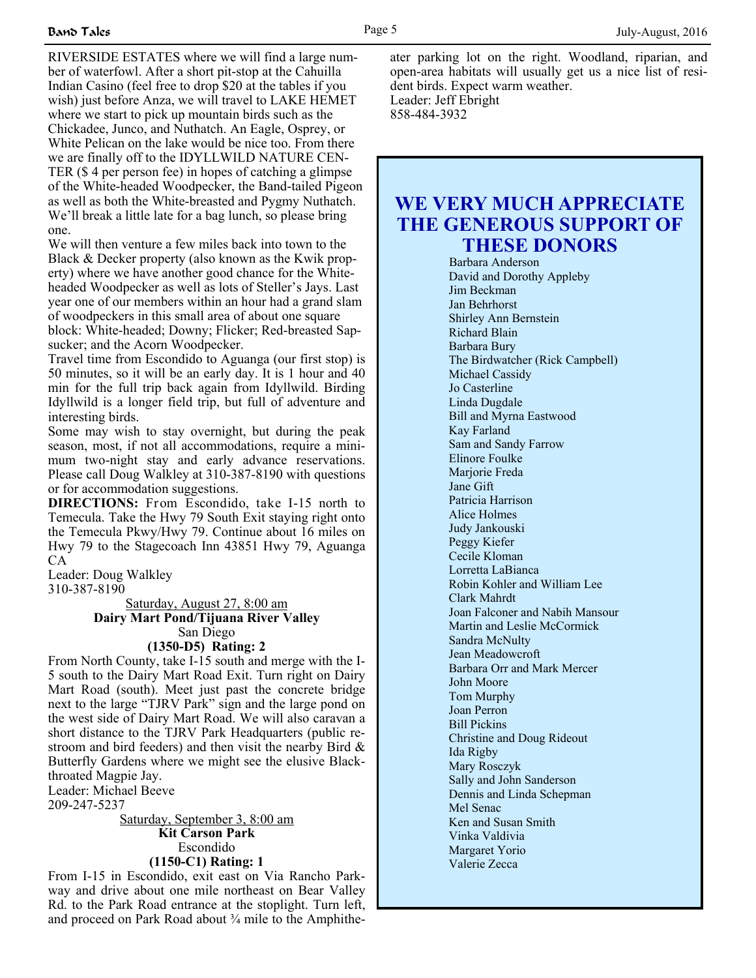RIVERSIDE ESTATES where we will find a large number of waterfowl. After a short pit-stop at the Cahuilla Indian Casino (feel free to drop \$20 at the tables if you wish) just before Anza, we will travel to LAKE HEMET where we start to pick up mountain birds such as the Chickadee, Junco, and Nuthatch. An Eagle, Osprey, or White Pelican on the lake would be nice too. From there we are finally off to the IDYLLWILD NATURE CEN-TER (\$ 4 per person fee) in hopes of catching a glimpse of the White-headed Woodpecker, the Band-tailed Pigeon as well as both the White-breasted and Pygmy Nuthatch. We'll break a little late for a bag lunch, so please bring one.

We will then venture a few miles back into town to the Black & Decker property (also known as the Kwik property) where we have another good chance for the Whiteheaded Woodpecker as well as lots of Steller's Jays. Last year one of our members within an hour had a grand slam of woodpeckers in this small area of about one square block: White-headed; Downy; Flicker; Red-breasted Sapsucker; and the Acorn Woodpecker.

Travel time from Escondido to Aguanga (our first stop) is 50 minutes, so it will be an early day. It is 1 hour and 40 min for the full trip back again from Idyllwild. Birding Idyllwild is a longer field trip, but full of adventure and interesting birds.

Some may wish to stay overnight, but during the peak season, most, if not all accommodations, require a minimum two-night stay and early advance reservations. Please call Doug Walkley at 310-387-8190 with questions or for accommodation suggestions.

**DIRECTIONS:** From Escondido, take I-15 north to Temecula. Take the Hwy 79 South Exit staying right onto the Temecula Pkwy/Hwy 79. Continue about 16 miles on Hwy 79 to the Stagecoach Inn 43851 Hwy 79, Aguanga CA

Leader: Doug Walkley

310-387-8190

Saturday, August 27, 8:00 am **Dairy Mart Pond/Tijuana River Valley** San Diego **(1350-D5) Rating: 2**

From North County, take I-15 south and merge with the I-5 south to the Dairy Mart Road Exit. Turn right on Dairy Mart Road (south). Meet just past the concrete bridge next to the large "TJRV Park" sign and the large pond on the west side of Dairy Mart Road. We will also caravan a short distance to the TJRV Park Headquarters (public restroom and bird feeders) and then visit the nearby Bird & Butterfly Gardens where we might see the elusive Blackthroated Magpie Jay.

Leader: Michael Beeve

209-247-5237

Saturday, September 3, 8:00 am **Kit Carson Park** Escondido **(1150-C1) Rating: 1**

From I-15 in Escondido, exit east on Via Rancho Parkway and drive about one mile northeast on Bear Valley Rd. to the Park Road entrance at the stoplight. Turn left, and proceed on Park Road about ¾ mile to the Amphitheater parking lot on the right. Woodland, riparian, and open-area habitats will usually get us a nice list of resident birds. Expect warm weather. Leader: Jeff Ebright

858-484-3932

# **WE VERY MUCH APPRECIATE THE GENEROUS SUPPORT OF THESE DONORS**

Barbara Anderson David and Dorothy Appleby Jim Beckman Jan Behrhorst Shirley Ann Bernstein Richard Blain Barbara Bury The Birdwatcher (Rick Campbell) Michael Cassidy Jo Casterline Linda Dugdale Bill and Myrna Eastwood Kay Farland Sam and Sandy Farrow Elinore Foulke Marjorie Freda Jane Gift Patricia Harrison Alice Holmes Judy Jankouski Peggy Kiefer Cecile Kloman Lorretta LaBianca Robin Kohler and William Lee Clark Mahrdt Joan Falconer and Nabih Mansour Martin and Leslie McCormick Sandra McNulty Jean Meadowcroft Barbara Orr and Mark Mercer John Moore Tom Murphy Joan Perron Bill Pickins Christine and Doug Rideout Ida Rigby Mary Rosczyk Sally and John Sanderson Dennis and Linda Schepman Mel Senac Ken and Susan Smith Vinka Valdivia Margaret Yorio Valerie Zecca